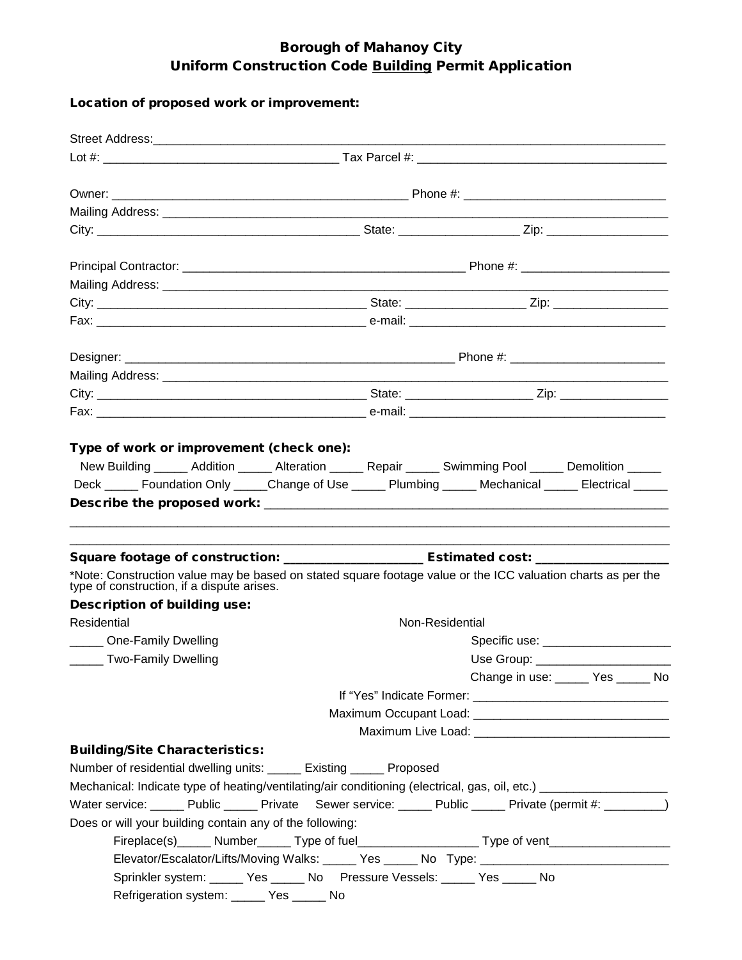## Borough of Mahanoy City Uniform Construction Code Building Permit Application

## Location of proposed work or improvement:

| Type of work or improvement (check one):                                                                                                                                                                                                                          |  |                                                                                                     |  |                 |  |                                    |  |  |
|-------------------------------------------------------------------------------------------------------------------------------------------------------------------------------------------------------------------------------------------------------------------|--|-----------------------------------------------------------------------------------------------------|--|-----------------|--|------------------------------------|--|--|
| New Building _____ Addition _____ Alteration _____ Repair _____ Swimming Pool _____ Demolition _____                                                                                                                                                              |  |                                                                                                     |  |                 |  |                                    |  |  |
| Deck ______ Foundation Only ______Change of Use ______ Plumbing ______ Mechanical ______ Electrical ______                                                                                                                                                        |  |                                                                                                     |  |                 |  |                                    |  |  |
| Square footage of construction: ____________________________Estimated cost: _______________________<br>*Note: Construction value may be based on stated square footage value or the ICC valuation charts as per the<br>type of construction, if a dispute arises. |  |                                                                                                     |  |                 |  |                                    |  |  |
| <b>Description of building use:</b>                                                                                                                                                                                                                               |  |                                                                                                     |  |                 |  |                                    |  |  |
| Residential                                                                                                                                                                                                                                                       |  |                                                                                                     |  | Non-Residential |  |                                    |  |  |
| _____ One-Family Dwelling                                                                                                                                                                                                                                         |  |                                                                                                     |  |                 |  |                                    |  |  |
| ______ Two-Family Dwelling                                                                                                                                                                                                                                        |  |                                                                                                     |  |                 |  | Use Group: _____________________   |  |  |
|                                                                                                                                                                                                                                                                   |  |                                                                                                     |  |                 |  | Change in use: ______ Yes _____ No |  |  |
|                                                                                                                                                                                                                                                                   |  |                                                                                                     |  |                 |  |                                    |  |  |
|                                                                                                                                                                                                                                                                   |  |                                                                                                     |  |                 |  |                                    |  |  |
|                                                                                                                                                                                                                                                                   |  |                                                                                                     |  |                 |  |                                    |  |  |
| <b>Building/Site Characteristics:</b>                                                                                                                                                                                                                             |  |                                                                                                     |  |                 |  |                                    |  |  |
| Number of residential dwelling units: _____ Existing _____ Proposed                                                                                                                                                                                               |  |                                                                                                     |  |                 |  |                                    |  |  |
| Mechanical: Indicate type of heating/ventilating/air conditioning (electrical, gas, oil, etc.) _______________                                                                                                                                                    |  |                                                                                                     |  |                 |  |                                    |  |  |
| Water service: _____ Public _____ Private Sewer service: _____ Public _____ Private (permit #: ________)                                                                                                                                                          |  |                                                                                                     |  |                 |  |                                    |  |  |
| Does or will your building contain any of the following:                                                                                                                                                                                                          |  |                                                                                                     |  |                 |  |                                    |  |  |
| Fireplace(s)______ Number______ Type of fuel_______________________Type of vent_____________________                                                                                                                                                              |  |                                                                                                     |  |                 |  |                                    |  |  |
|                                                                                                                                                                                                                                                                   |  | Elevator/Escalator/Lifts/Moving Walks: ______ Yes ______ No Type: _________________________________ |  |                 |  |                                    |  |  |
|                                                                                                                                                                                                                                                                   |  | Sprinkler system: ______ Yes ______ No Pressure Vessels: _____ Yes _____ No                         |  |                 |  |                                    |  |  |
|                                                                                                                                                                                                                                                                   |  | Refrigeration system: ______ Yes ______ No                                                          |  |                 |  |                                    |  |  |